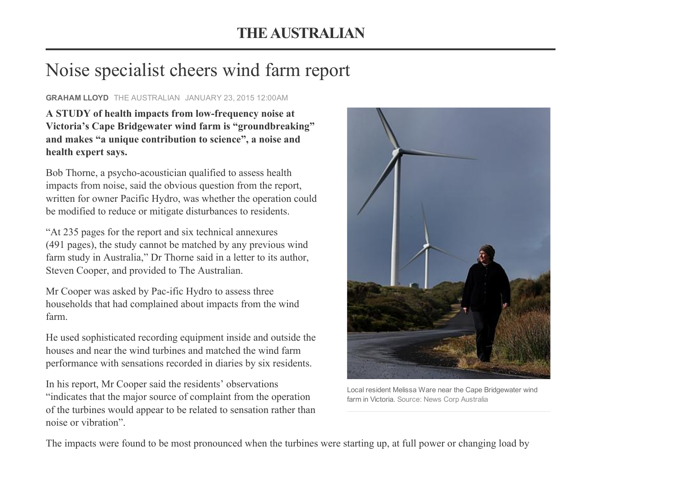## Noise specialist cheers wind farm report

## GRAHAM LLOYD THE [AUSTRALIAN](http://www.theaustralian.com.au/) JANUARY 23, 2015 12:00AM

A STUDY of health impacts from low-frequency noise at Victoria's Cape Bridgewater wind farm is "groundbreaking" and makes "a unique contribution to science", a noise and health expert says.

Bob Thorne, a psycho-acoustician qualified to assess health impacts from noise, said the obvious question from the report, written for owner Pacific Hydro, was whether the operation could be modified to reduce or mitigate disturbances to residents.

"At 235 pages for the report and six technical annexures (491 pages), the study cannot be matched by any previous wind farm study in Australia," Dr Thorne said in a letter to its author, Steven Cooper, and provided to The Australian.

Mr Cooper was asked by Pac-ific Hydro to assess three households that had complained about impacts from the wind farm.

He used sophisticated recording equipment inside and outside the houses and near the wind turbines and matched the wind farm performance with sensations recorded in diaries by six residents.

In his report, Mr Cooper said the residents' observations "indicates that the major source of complaint from the operation of the turbines would appear to be related to sensation rather than noise or vibration".



Local resident Melissa Ware near the Cape Bridgewater wind farm in Victoria. Source: News Corp Australia

The impacts were found to be most pronounced when the turbines were starting up, at full power or changing load by